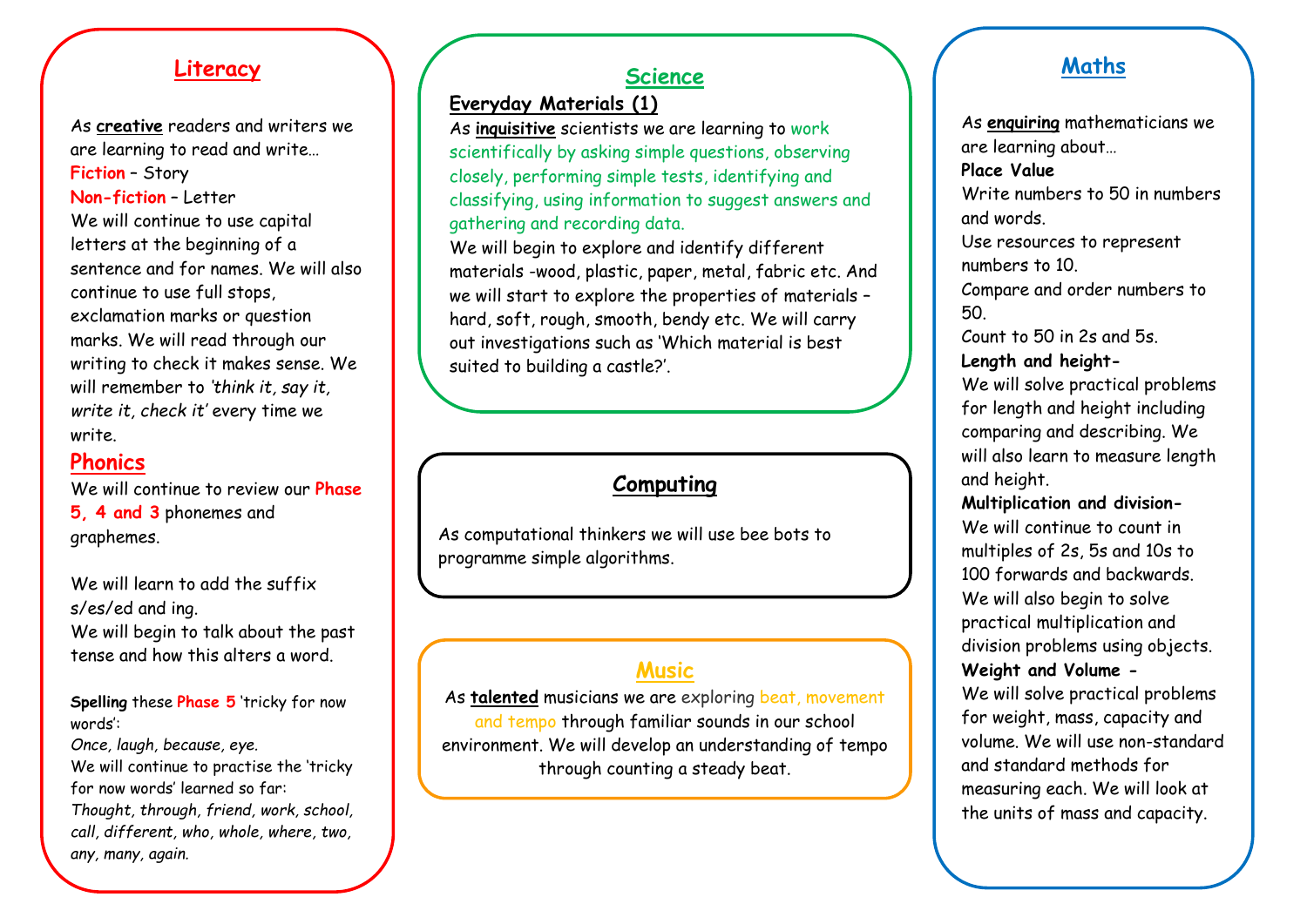#### **Literacy**

As **creative** readers and writers we are learning to read and write… **Fiction** – Story **Non-fiction** – Letter We will continue to use capital letters at the beginning of a sentence and for names. We will also continue to use full stops, exclamation marks or question marks. We will read through our writing to check it makes sense. We will remember to *'think it, say it, write it, check it'* every time we write.

#### **Phonics**

We will continue to review our **Phase 5, 4 and 3** phonemes and graphemes.

We will learn to add the suffix s/es/ed and ing. We will begin to talk about the past tense and how this alters a word.

**Spelling** these **Phase 5** 'tricky for now words':

*Once, laugh, because, eye.* We will continue to practise the 'tricky for now words' learned so far: *Thought, through, friend, work, school, call, different, who, whole, where, two, any, many, again.*

### **Science**

**Everyday Materials (1)**

As **inquisitive** scientists we are learning to work scientifically by asking simple questions, observing closely, performing simple tests, identifying and classifying, using information to suggest answers and gathering and recording data.

We will begin to explore and identify different materials -wood, plastic, paper, metal, fabric etc. And we will start to explore the properties of materials – hard, soft, rough, smooth, bendy etc. We will carry out investigations such as 'Which material is best suited to building a castle?'.

## **Computing**

As computational thinkers we will use bee bots to programme simple algorithms.

## **Music**

As **talented** musicians we are exploring beat, movement and tempo through familiar sounds in our school environment. We will develop an understanding of tempo through counting a steady beat.

#### **Maths**

As **enquiring** mathematicians we are learning about…

#### **Place Value**

Write numbers to 50 in numbers and words.

Use resources to represent numbers to 10.

Compare and order numbers to 50.

Count to 50 in 2s and 5s. **Length and height-**

We will solve practical problems for length and height including comparing and describing. We will also learn to measure length and height.

#### **Multiplication and division-**

We will continue to count in multiples of 2s, 5s and 10s to 100 forwards and backwards. We will also begin to solve practical multiplication and division problems using objects. **Weight and Volume -** We will solve practical problems for weight, mass, capacity and volume. We will use non-standard and standard methods for measuring each. We will look at the units of mass and capacity.